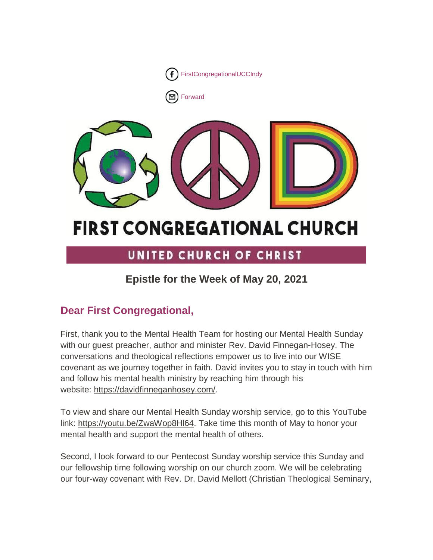

■[Forward](http://us16.forward-to-friend.com/forward?u=7a2e4c501545b6d78729a64a1&id=a4574e20ea&e=%5bUNIQID%5d)



# **FIRST CONGREGATIONAL CHURCH**

# UNITED CHURCH OF CHRIST

# **Epistle for the Week of May 20, 2021**

# **Dear First Congregational,**

First, thank you to the Mental Health Team for hosting our Mental Health Sunday with our guest preacher, author and minister Rev. David Finnegan-Hosey. The conversations and theological reflections empower us to live into our WISE covenant as we journey together in faith. David invites you to stay in touch with him and follow his mental health ministry by reaching him through his website: [https://davidfinneganhosey.com/.](https://davidfinneganhosey.com/)

To view and share our Mental Health Sunday worship service, go to this YouTube link: [https://youtu.be/ZwaWop8Hl64.](https://youtu.be/ZwaWop8Hl64) Take time this month of May to honor your mental health and support the mental health of others.

Second, I look forward to our Pentecost Sunday worship service this Sunday and our fellowship time following worship on our church zoom. We will be celebrating our four-way covenant with Rev. Dr. David Mellott (Christian Theological Seminary,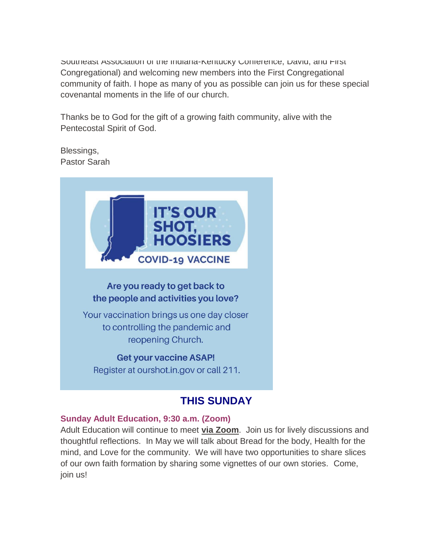Southeast Association of the Indiana-Kentucky Conference, David, and First Congregational) and welcoming new members into the First Congregational community of faith. I hope as many of you as possible can join us for these special covenantal moments in the life of our church.

Thanks be to God for the gift of a growing faith community, alive with the Pentecostal Spirit of God.

Blessings, Pastor Sarah



# **THIS SUNDAY**

#### **Sunday Adult Education, 9:30 a.m. (Zoom)**

Adult Education will continue to meet **[via Zoom](https://us02web.zoom.us/j/9264494206?pwd=dmtWbWE5UXRBTk5pcHZlYlB0aEFVUT09)**. Join us for lively discussions and thoughtful reflections. In May we will talk about Bread for the body, Health for the mind, and Love for the community. We will have two opportunities to share slices of our own faith formation by sharing some vignettes of our own stories. Come, join us!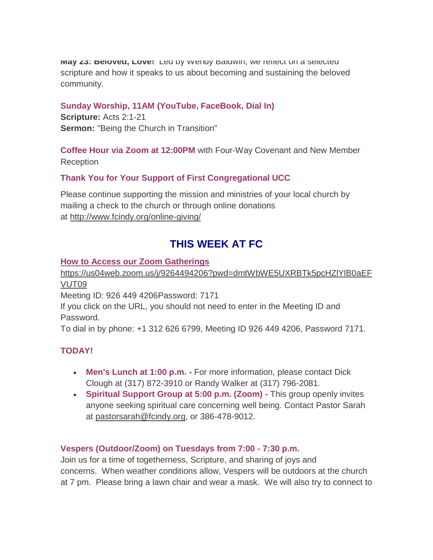**May 23: Beloved, Love!** Led by Wendy Baldwin, we reflect on a selected scripture and how it speaks to us about becoming and sustaining the beloved community.

#### **Sunday Worship, 11AM (YouTube, FaceBook, Dial In)**

**Scripture:** Acts 2:1-21 **Sermon:** "Being the Church in Transition"

**Coffee Hour via Zoom at 12:00PM** with Four-Way Covenant and New Member Reception

#### **Thank You for Your Support of First Congregational UCC**

Please continue supporting the mission and ministries of your local church by mailing a check to the church or through online donations at <http://www.fcindy.org/online-giving/>

## **THIS WEEK AT FC**

#### **How to Access our Zoom Gatherings**

[https://us04web.zoom.us/j/9264494206?pwd=dmtWbWE5UXRBTk5pcHZlYlB0aEF](https://us04web.zoom.us/j/9264494206?pwd=dmtWbWE5UXRBTk5pcHZlYlB0aEFVUT09) [VUT09](https://us04web.zoom.us/j/9264494206?pwd=dmtWbWE5UXRBTk5pcHZlYlB0aEFVUT09)

Meeting ID: 926 449 4206Password: 7171

If you click on the URL, you should not need to enter in the Meeting ID and Password.

To dial in by phone: +1 312 626 6799, Meeting ID 926 449 4206, Password 7171.

#### **TODAY!**

- **Men's Lunch at 1:00 p.m. -** For more information, please contact Dick Clough at (317) 872-3910 or Randy Walker at (317) 796-2081.
- **Spiritual Support Group at 5:00 p.m. (Zoom) -** This group openly invites anyone seeking spiritual care concerning well being. Contact Pastor Sarah at [pastorsarah@fcindy.org,](mailto:pastorsarah@fcindy.org) or 386-478-9012.

#### **Vespers (Outdoor/Zoom) on Tuesdays from 7:00 - 7:30 p.m.**

Join us for a time of togetherness, Scripture, and sharing of joys and concerns. When weather conditions allow, Vespers will be outdoors at the church at 7 pm. Please bring a lawn chair and wear a mask. We will also try to connect to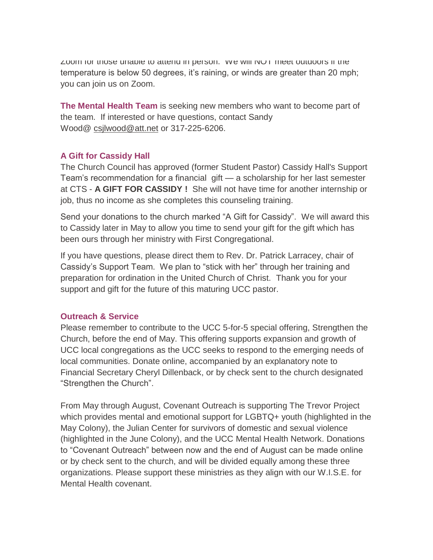Zoom for those unable to attend in person. We will NOT meet outdoors if the temperature is below 50 degrees, it's raining, or winds are greater than 20 mph; you can join us on Zoom.

**The Mental Health Team** is seeking new members who want to become part of the team. If interested or have questions, contact Sandy Wood@ [csjlwood@att.net](mailto:csjlwood@att.net) or 317-225-6206.

#### **A Gift for Cassidy Hall**

The Church Council has approved (former Student Pastor) Cassidy Hall's Support Team's recommendation for a financial gift — a scholarship for her last semester at CTS - **A GIFT FOR CASSIDY !** She will not have time for another internship or job, thus no income as she completes this counseling training.

Send your donations to the church marked "A Gift for Cassidy". We will award this to Cassidy later in May to allow you time to send your gift for the gift which has been ours through her ministry with First Congregational.

If you have questions, please direct them to Rev. Dr. Patrick Larracey, chair of Cassidy's Support Team. We plan to "stick with her" through her training and preparation for ordination in the United Church of Christ. Thank you for your support and gift for the future of this maturing UCC pastor.

#### **Outreach & Service**

Please remember to contribute to the UCC 5-for-5 special offering, Strengthen the Church, before the end of May. This offering supports expansion and growth of UCC local congregations as the UCC seeks to respond to the emerging needs of local communities. Donate online, accompanied by an explanatory note to Financial Secretary Cheryl Dillenback, or by check sent to the church designated "Strengthen the Church".

From May through August, Covenant Outreach is supporting The Trevor Project which provides mental and emotional support for LGBTQ+ youth (highlighted in the May Colony), the Julian Center for survivors of domestic and sexual violence (highlighted in the June Colony), and the UCC Mental Health Network. Donations to "Covenant Outreach" between now and the end of August can be made online or by check sent to the church, and will be divided equally among these three organizations. Please support these ministries as they align with our W.I.S.E. for Mental Health covenant.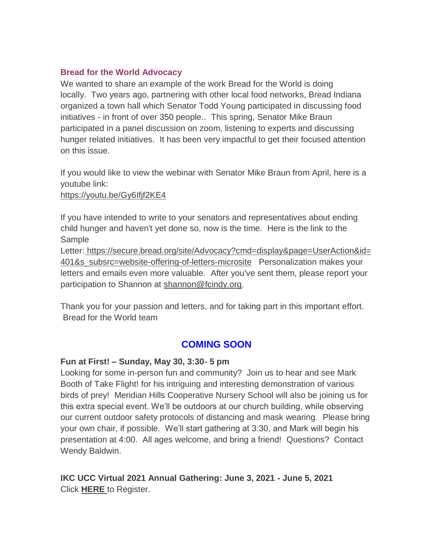#### **Bread for the World Advocacy**

We wanted to share an example of the work Bread for the World is doing locally. Two years ago, partnering with other local food networks, Bread Indiana organized a town hall which Senator Todd Young participated in discussing food initiatives - in front of over 350 people.. This spring, Senator Mike Braun participated in a panel discussion on zoom, listening to experts and discussing hunger related initiatives. It has been very impactful to get their focused attention on this issue.

If you would like to view the webinar with Senator Mike Braun from April, here is a youtube link:

#### <https://youtu.be/Gy6Ifjf2KE4>

If you have intended to write to your senators and representatives about ending child hunger and haven't yet done so, now is the time. Here is the link to the Sample

Letter: [https://secure.bread.org/site/Advocacy?cmd=display&page=UserAction&id=](https://secure.bread.org/site/Advocacy?cmd=display&page=UserAction&id=401&s_subsrc=website-offering-of-letters-microsite) [401&s\\_subsrc=website-offering-of-letters-microsite](https://secure.bread.org/site/Advocacy?cmd=display&page=UserAction&id=401&s_subsrc=website-offering-of-letters-microsite) Personalization makes your letters and emails even more valuable. After you've sent them, please report your participation to Shannon at [shannon@fcindy.org.](mailto:shannon@fcindy.org)

Thank you for your passion and letters, and for taking part in this important effort. Bread for the World team

#### **COMING SOON**

#### **Fun at First! – Sunday, May 30, 3:30- 5 pm**

Looking for some in-person fun and community? Join us to hear and see Mark Booth of Take Flight! for his intriguing and interesting demonstration of various birds of prey! Meridian Hills Cooperative Nursery School will also be joining us for this extra special event. We'll be outdoors at our church building, while observing our current outdoor safety protocols of distancing and mask wearing. Please bring your own chair, if possible. We'll start gathering at 3:30, and Mark will begin his presentation at 4:00. All ages welcome, and bring a friend! Questions? Contact Wendy Baldwin.

**IKC UCC Virtual 2021 Annual Gathering: June 3, 2021 - June 5, 2021** Click **[HERE](http://events.r20.constantcontact.com/register/event?oeidk=a07ehx2mnllab02071f&llr=iby9x9dab)** to Register.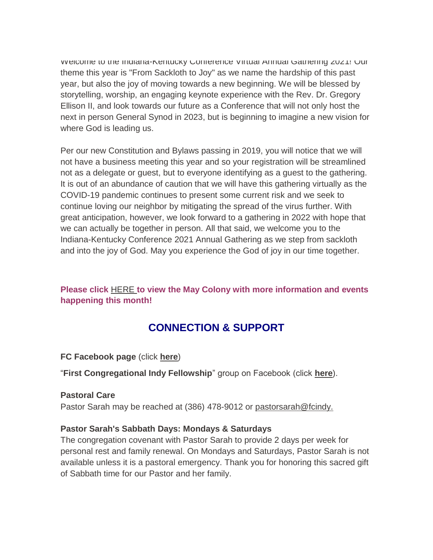welcome to the indiana-Kentucky Conference Virtual Annual Gathering 2021! Our theme this year is "From Sackloth to Joy" as we name the hardship of this past year, but also the joy of moving towards a new beginning. We will be blessed by storytelling, worship, an engaging keynote experience with the Rev. Dr. Gregory Ellison II, and look towards our future as a Conference that will not only host the next in person General Synod in 2023, but is beginning to imagine a new vision for where God is leading us.

Per our new Constitution and Bylaws passing in 2019, you will notice that we will not have a business meeting this year and so your registration will be streamlined not as a delegate or guest, but to everyone identifying as a guest to the gathering. It is out of an abundance of caution that we will have this gathering virtually as the COVID-19 pandemic continues to present some current risk and we seek to continue loving our neighbor by mitigating the spread of the virus further. With great anticipation, however, we look forward to a gathering in 2022 with hope that we can actually be together in person. All that said, we welcome you to the Indiana-Kentucky Conference 2021 Annual Gathering as we step from sackloth and into the joy of God. May you experience the God of joy in our time together.

#### **Please click** [HERE](https://mcusercontent.com/7a2e4c501545b6d78729a64a1/files/4829092a-9266-4e2f-a5d7-b1df27a81bda/May_Colony_2021.01.pdf) **[t](https://mcusercontent.com/7a2e4c501545b6d78729a64a1/files/4829092a-9266-4e2f-a5d7-b1df27a81bda/May_Colony_2021.01.pdf)o view the May Colony with more information and events happening this month!**

### **CONNECTION & SUPPORT**

**FC Facebook page** (click **[here](https://www.facebook.com/FirstCongregationalUCCIndy/)**)

"**First Congregational Indy Fellowship**" group on Facebook (click **[here](https://www.facebook.com/groups/521333455186422/)**).

#### **Pastoral Care**

Pastor Sarah may be reached at (386) 478-9012 or [pastorsarah@fcindy.](mailto:pastorsarah@fcindy.org)

#### **Pastor Sarah's Sabbath Days: Mondays & Saturdays**

The congregation covenant with Pastor Sarah to provide 2 days per week for personal rest and family renewal. On Mondays and Saturdays, Pastor Sarah is not available unless it is a pastoral emergency. Thank you for honoring this sacred gift of Sabbath time for our Pastor and her family.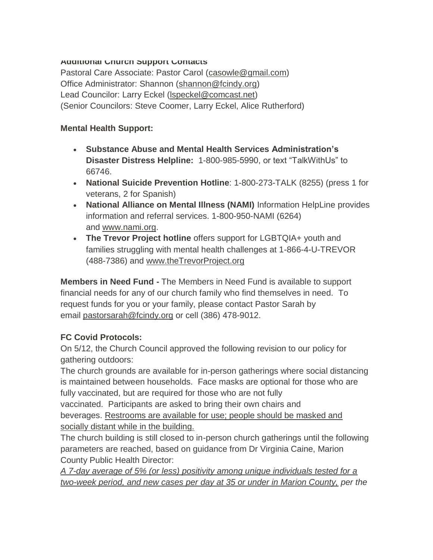#### **Additional Church Support Contacts**

Pastoral Care Associate: Pastor Carol [\(casowle@gmail.com\)](mailto:casowle@gmail.com) Office Administrator: Shannon [\(shannon@fcindy.org\)](mailto:shannon@fcindy.org) Lead Councilor: Larry Eckel [\(lspeckel@comcast.net\)](mailto:lspeckel@comcast.net) (Senior Councilors: Steve Coomer, Larry Eckel, Alice Rutherford)

#### **Mental Health Support:**

- **Substance Abuse and Mental Health Services Administration's Disaster Distress Helpline:** 1-800-985-5990, or text "TalkWithUs" to 66746.
- **National Suicide Prevention Hotline**: 1-800-273-TALK (8255) (press 1 for veterans, 2 for Spanish)
- **National Alliance on Mental Illness (NAMI)** Information HelpLine provides information and referral services. 1-800-950-NAMI (6264) and [www.nami.org.](http://www.nami.org/)
- **The Trevor Project hotline** offers support for LGBTQIA+ youth and families struggling with mental health challenges at 1-866-4-U-TREVOR (488-7386) and [www.theTrevorProject.org](http://www.thetrevorproject.org/)

**Members in Need Fund -** The Members in Need Fund is available to support financial needs for any of our church family who find themselves in need. To request funds for you or your family, please contact Pastor Sarah by email [pastorsarah@fcindy.org](mailto:pastorsarah@fcindy.org) or cell (386) 478-9012.

#### **FC Covid Protocols:**

On 5/12, the Church Council approved the following revision to our policy for gathering outdoors:

The church grounds are available for in-person gatherings where social distancing is maintained between households. Face masks are optional for those who are fully vaccinated, but are required for those who are not fully

vaccinated. Participants are asked to bring their own chairs and beverages. Restrooms are available for use; people should be masked and socially distant while in the building.

The church building is still closed to in-person church gatherings until the following parameters are reached, based on guidance from Dr Virginia Caine, Marion County Public Health Director:

*A 7-day average of 5% (or less) positivity among unique individuals tested for a two-week period, and new cases per day at 35 or under in Marion County, per the*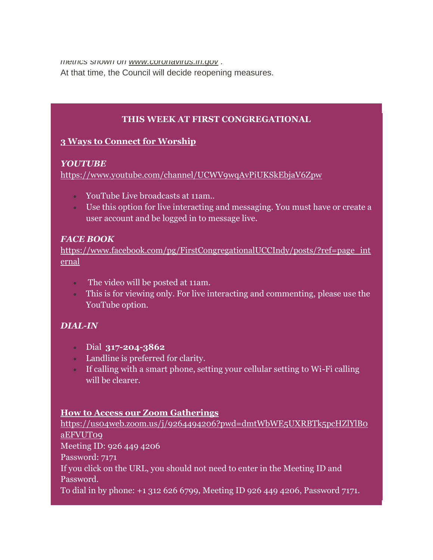*metrics shown on [www.coronavirus.in.gov](https://fcindy.us16.list-manage.com/track/click?u=7a2e4c501545b6d78729a64a1&id=3a4df53b60&e=605c2c8600) .* 

At that time, the Council will decide reopening measures.

#### **THIS WEEK AT FIRST CONGREGATIONAL**

#### **3 Ways to Connect for Worship**

#### *YOUTUBE*

<https://www.youtube.com/channel/UCWV9wqAvPiUKSkEbjaV6Zpw>

- YouTube Live broadcasts at 11am..
- Use this option for live interacting and messaging. You must have or create a user account and be logged in to message live.

#### *FACE BOOK*

[https://www.facebook.com/pg/FirstCongregationalUCCIndy/posts/?ref=page\\_int](https://www.facebook.com/pg/FirstCongregationalUCCIndy/posts/?ref=page_internal) [ernal](https://www.facebook.com/pg/FirstCongregationalUCCIndy/posts/?ref=page_internal)

- The video will be posted at 11am.
- This is for viewing only. For live interacting and commenting, please use the YouTube option.

#### *DIAL-IN*

- Dial **317-204-3862**
- Landline is preferred for clarity.
- If calling with a smart phone, setting your cellular setting to Wi-Fi calling will be clearer.

#### **How to Access our Zoom Gatherings**

[https://us04web.zoom.us/j/9264494206?pwd=dmtWbWE5UXRBTk5pcHZlYlB0](https://us04web.zoom.us/j/9264494206?pwd=dmtWbWE5UXRBTk5pcHZlYlB0aEFVUT09) [aEFVUT09](https://us04web.zoom.us/j/9264494206?pwd=dmtWbWE5UXRBTk5pcHZlYlB0aEFVUT09) Meeting ID: 926 449 4206 Password: 7171 If you click on the URL, you should not need to enter in the Meeting ID and Password. To dial in by phone: +1 312 626 6799, Meeting ID 926 449 4206, Password 7171.